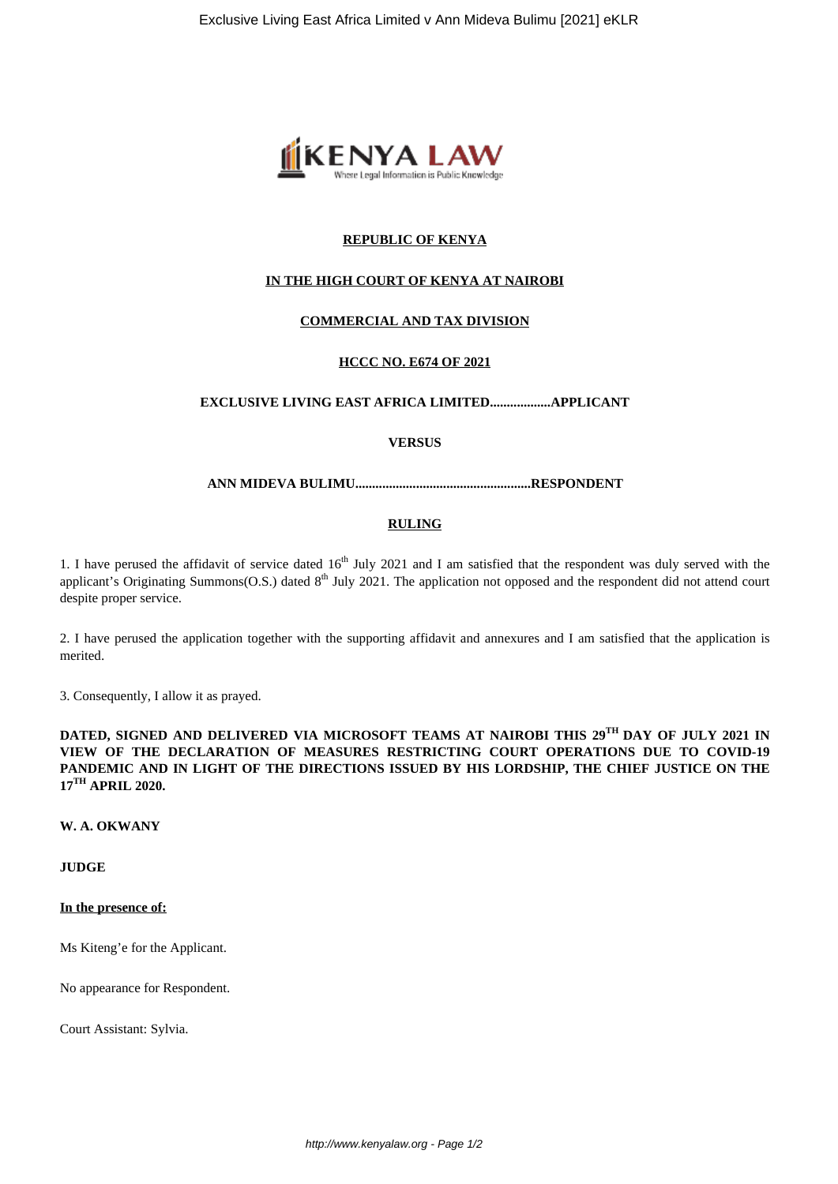

# **REPUBLIC OF KENYA**

# **IN THE HIGH COURT OF KENYA AT NAIROBI**

# **COMMERCIAL AND TAX DIVISION**

# **HCCC NO. E674 OF 2021**

## **EXCLUSIVE LIVING EAST AFRICA LIMITED..................APPLICANT**

# **VERSUS**

#### **ANN MIDEVA BULIMU....................................................RESPONDENT**

#### **RULING**

1. I have perused the affidavit of service dated  $16<sup>th</sup>$  July 2021 and I am satisfied that the respondent was duly served with the applicant's Originating Summons(O.S.) dated 8<sup>th</sup> July 2021. The application not opposed and the respondent did not attend court despite proper service.

2. I have perused the application together with the supporting affidavit and annexures and I am satisfied that the application is merited.

3. Consequently, I allow it as prayed.

**DATED, SIGNED AND DELIVERED VIA MICROSOFT TEAMS AT NAIROBI THIS 29TH DAY OF JULY 2021 IN VIEW OF THE DECLARATION OF MEASURES RESTRICTING COURT OPERATIONS DUE TO COVID-19 PANDEMIC AND IN LIGHT OF THE DIRECTIONS ISSUED BY HIS LORDSHIP, THE CHIEF JUSTICE ON THE 17TH APRIL 2020.**

# **W. A. OKWANY**

## **JUDGE**

## **In the presence of:**

Ms Kiteng'e for the Applicant.

No appearance for Respondent.

Court Assistant: Sylvia.